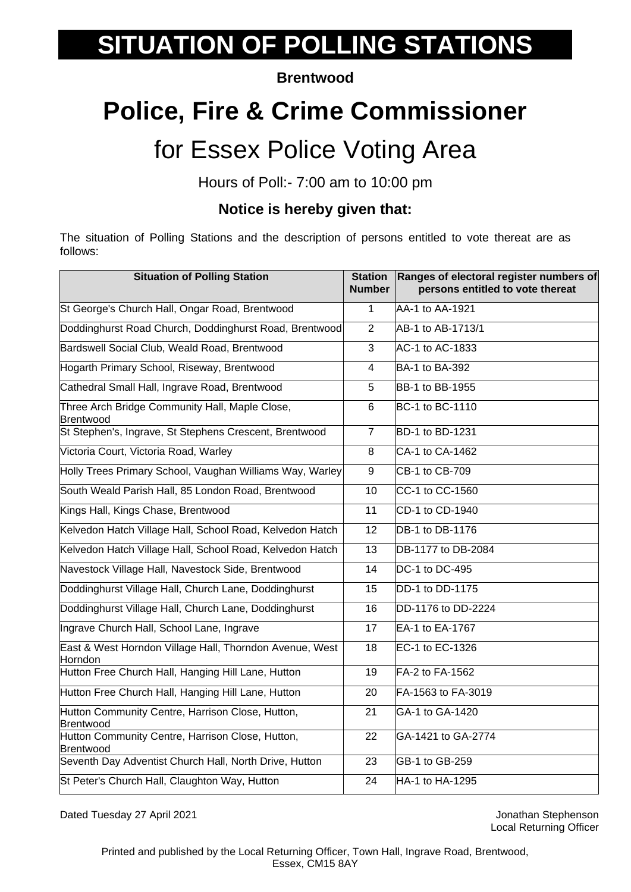# **SITUATION OF POLLING STATIONS**

#### **Brentwood**

## **Police, Fire & Crime Commissioner**

### for Essex Police Voting Area

Hours of Poll:- 7:00 am to 10:00 pm

#### **Notice is hereby given that:**

The situation of Polling Stations and the description of persons entitled to vote thereat are as follows:

| <b>Situation of Polling Station</b>                                | <b>Station</b><br>Number | Ranges of electoral register numbers of<br>persons entitled to vote thereat |
|--------------------------------------------------------------------|--------------------------|-----------------------------------------------------------------------------|
| St George's Church Hall, Ongar Road, Brentwood                     | $\mathbf 1$              | AA-1 to AA-1921                                                             |
| Doddinghurst Road Church, Doddinghurst Road, Brentwood             | $\overline{2}$           | AB-1 to AB-1713/1                                                           |
| Bardswell Social Club, Weald Road, Brentwood                       | 3                        | AC-1 to AC-1833                                                             |
| Hogarth Primary School, Riseway, Brentwood                         | 4                        | BA-1 to BA-392                                                              |
| Cathedral Small Hall, Ingrave Road, Brentwood                      | 5                        | BB-1 to BB-1955                                                             |
| Three Arch Bridge Community Hall, Maple Close,<br>Brentwood        | 6                        | <b>BC-1 to BC-1110</b>                                                      |
| St Stephen's, Ingrave, St Stephens Crescent, Brentwood             | $\overline{7}$           | <b>BD-1 to BD-1231</b>                                                      |
| Victoria Court, Victoria Road, Warley                              | 8                        | CA-1 to CA-1462                                                             |
| Holly Trees Primary School, Vaughan Williams Way, Warley           | 9                        | CB-1 to CB-709                                                              |
| South Weald Parish Hall, 85 London Road, Brentwood                 | 10                       | CC-1 to CC-1560                                                             |
| Kings Hall, Kings Chase, Brentwood                                 | 11                       | CD-1 to CD-1940                                                             |
| Kelvedon Hatch Village Hall, School Road, Kelvedon Hatch           | 12                       | DB-1 to DB-1176                                                             |
| Kelvedon Hatch Village Hall, School Road, Kelvedon Hatch           | 13                       | DB-1177 to DB-2084                                                          |
| Navestock Village Hall, Navestock Side, Brentwood                  | 14                       | DC-1 to DC-495                                                              |
| Doddinghurst Village Hall, Church Lane, Doddinghurst               | 15                       | DD-1 to DD-1175                                                             |
| Doddinghurst Village Hall, Church Lane, Doddinghurst               | 16                       | DD-1176 to DD-2224                                                          |
| Ingrave Church Hall, School Lane, Ingrave                          | 17                       | EA-1 to EA-1767                                                             |
| East & West Horndon Village Hall, Thorndon Avenue, West<br>Horndon | 18                       | EC-1 to EC-1326                                                             |
| Hutton Free Church Hall, Hanging Hill Lane, Hutton                 | 19                       | FA-2 to FA-1562                                                             |
| Hutton Free Church Hall, Hanging Hill Lane, Hutton                 | 20                       | FA-1563 to FA-3019                                                          |
| Hutton Community Centre, Harrison Close, Hutton,<br>Brentwood      | 21                       | GA-1 to GA-1420                                                             |
| Hutton Community Centre, Harrison Close, Hutton,<br>Brentwood      | 22                       | GA-1421 to GA-2774                                                          |
| Seventh Day Adventist Church Hall, North Drive, Hutton             | 23                       | GB-1 to GB-259                                                              |
| St Peter's Church Hall, Claughton Way, Hutton                      | 24                       | HA-1 to HA-1295                                                             |

Dated Tuesday 27 April 2021 **Dated Tuesday 27 April 2021** 

Local Returning Officer